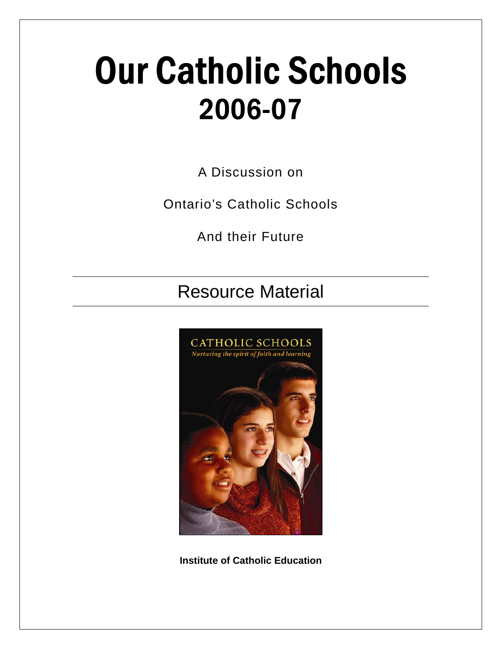# Our Catholic Schools 2006-07

A Discussion on

Ontario's Catholic Schools

And their Future

### Resource Material



**Institute of Catholic Education**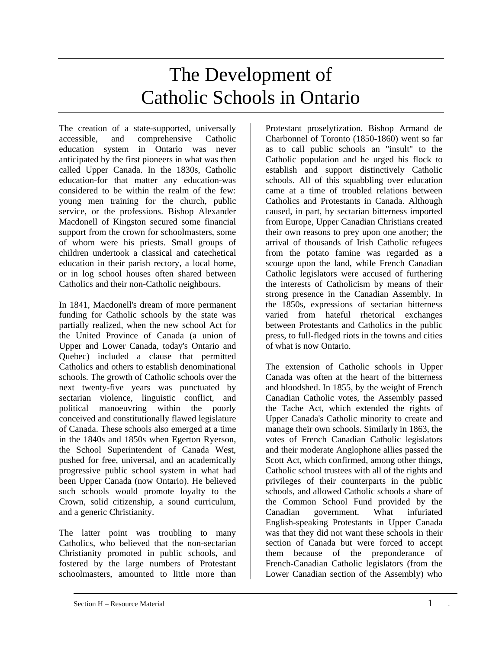### The Development of Catholic Schools in Ontario

The creation of a state-supported, universally accessible, and comprehensive Catholic education system in Ontario was never anticipated by the first pioneers in what was then called Upper Canada. In the 1830s, Catholic education-for that matter any education-was considered to be within the realm of the few: young men training for the church, public service, or the professions. Bishop Alexander Macdonell of Kingston secured some financial support from the crown for schoolmasters, some of whom were his priests. Small groups of children undertook a classical and catechetical education in their parish rectory, a local home, or in log school houses often shared between Catholics and their non-Catholic neighbours.

In 1841, Macdonell's dream of more permanent funding for Catholic schools by the state was partially realized, when the new school Act for the United Province of Canada (a union of Upper and Lower Canada, today's Ontario and Quebec) included a clause that permitted Catholics and others to establish denominational schools. The growth of Catholic schools over the next twenty-five years was punctuated by sectarian violence, linguistic conflict, and political manoeuvring within the poorly conceived and constitutionally flawed legislature of Canada. These schools also emerged at a time in the 1840s and 1850s when Egerton Ryerson, the School Superintendent of Canada West, pushed for free, universal, and an academically progressive public school system in what had been Upper Canada (now Ontario). He believed such schools would promote loyalty to the Crown, solid citizenship, a sound curriculum, and a generic Christianity.

The latter point was troubling to many Catholics, who believed that the non-sectarian Christianity promoted in public schools, and fostered by the large numbers of Protestant schoolmasters, amounted to little more than

Protestant proselytization. Bishop Armand de Charbonnel of Toronto (1850-1860) went so far as to call public schools an "insult" to the Catholic population and he urged his flock to establish and support distinctively Catholic schools. All of this squabbling over education came at a time of troubled relations between Catholics and Protestants in Canada. Although caused, in part, by sectarian bitterness imported from Europe, Upper Canadian Christians created their own reasons to prey upon one another; the arrival of thousands of Irish Catholic refugees from the potato famine was regarded as a scourge upon the land, while French Canadian Catholic legislators were accused of furthering the interests of Catholicism by means of their strong presence in the Canadian Assembly. In the 1850s, expressions of sectarian bitterness varied from hateful rhetorical exchanges between Protestants and Catholics in the public press, to full-fledged riots in the towns and cities of what is now Ontario.

The extension of Catholic schools in Upper Canada was often at the heart of the bitterness and bloodshed. In 1855, by the weight of French Canadian Catholic votes, the Assembly passed the Tache Act, which extended the rights of Upper Canada's Catholic minority to create and manage their own schools. Similarly in 1863, the votes of French Canadian Catholic legislators and their moderate Anglophone allies passed the Scott Act, which confirmed, among other things, Catholic school trustees with all of the rights and privileges of their counterparts in the public schools, and allowed Catholic schools a share of the Common School Fund provided by the Canadian government. What infuriated English-speaking Protestants in Upper Canada was that they did not want these schools in their section of Canada but were forced to accept them because of the preponderance of French-Canadian Catholic legislators (from the Lower Canadian section of the Assembly) who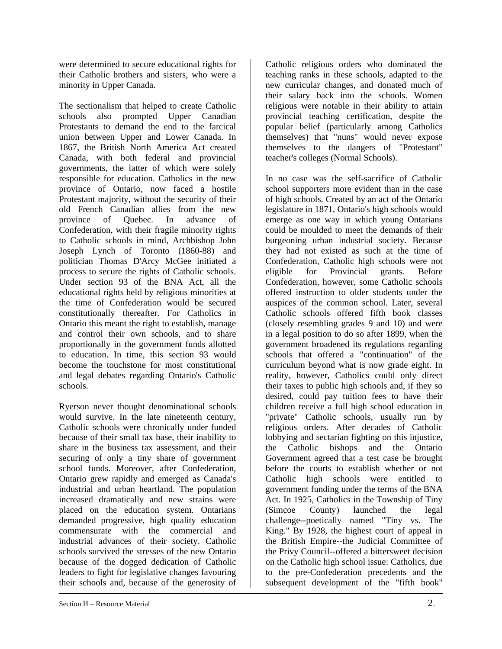were determined to secure educational rights for their Catholic brothers and sisters, who were a minority in Upper Canada.

The sectionalism that helped to create Catholic schools also prompted Upper Canadian Protestants to demand the end to the farcical union between Upper and Lower Canada. In 1867, the British North America Act created Canada, with both federal and provincial governments, the latter of which were solely responsible for education. Catholics in the new province of Ontario, now faced a hostile Protestant majority, without the security of their old French Canadian allies from the new province of Quebec. In advance of Confederation, with their fragile minority rights to Catholic schools in mind, Archbishop John Joseph Lynch of Toronto (1860-88) and politician Thomas D'Arcy McGee initiated a process to secure the rights of Catholic schools. Under section 93 of the BNA Act, all the educational rights held by religious minorities at the time of Confederation would be secured constitutionally thereafter. For Catholics in Ontario this meant the right to establish, manage and control their own schools, and to share proportionally in the government funds allotted to education. In time, this section 93 would become the touchstone for most constitutional and legal debates regarding Ontario's Catholic schools.

Ryerson never thought denominational schools would survive. In the late nineteenth century, Catholic schools were chronically under funded because of their small tax base, their inability to share in the business tax assessment, and their securing of only a tiny share of government school funds. Moreover, after Confederation, Ontario grew rapidly and emerged as Canada's industrial and urban heartland. The population increased dramatically and new strains were placed on the education system. Ontarians demanded progressive, high quality education commensurate with the commercial and industrial advances of their society. Catholic schools survived the stresses of the new Ontario because of the dogged dedication of Catholic leaders to fight for legislative changes favouring their schools and, because of the generosity of

Catholic religious orders who dominated the teaching ranks in these schools, adapted to the new curricular changes, and donated much of their salary back into the schools. Women religious were notable in their ability to attain provincial teaching certification, despite the popular belief (particularly among Catholics themselves) that "nuns" would never expose themselves to the dangers of "Protestant" teacher's colleges (Normal Schools).

In no case was the self-sacrifice of Catholic school supporters more evident than in the case of high schools. Created by an act of the Ontario legislature in 1871, Ontario's high schools would emerge as one way in which young Ontarians could be moulded to meet the demands of their burgeoning urban industrial society. Because they had not existed as such at the time of Confederation, Catholic high schools were not eligible for Provincial grants. Before Confederation, however, some Catholic schools offered instruction to older students under the auspices of the common school. Later, several Catholic schools offered fifth book classes (closely resembling grades 9 and 10) and were in a legal position to do so after 1899, when the government broadened its regulations regarding schools that offered a "continuation" of the curriculum beyond what is now grade eight. In reality, however, Catholics could only direct their taxes to public high schools and, if they so desired, could pay tuition fees to have their children receive a full high school education in "private" Catholic schools, usually run by religious orders. After decades of Catholic lobbying and sectarian fighting on this injustice, the Catholic bishops and the Ontario Government agreed that a test case be brought before the courts to establish whether or not Catholic high schools were entitled to government funding under the terms of the BNA Act. In 1925, Catholics in the Township of Tiny (Simcoe County) launched the legal challenge--poetically named "Tiny vs. The King." By 1928, the highest court of appeal in the British Empire--the Judicial Committee of the Privy Council--offered a bittersweet decision on the Catholic high school issue: Catholics, due to the pre-Confederation precedents and the subsequent development of the "fifth book"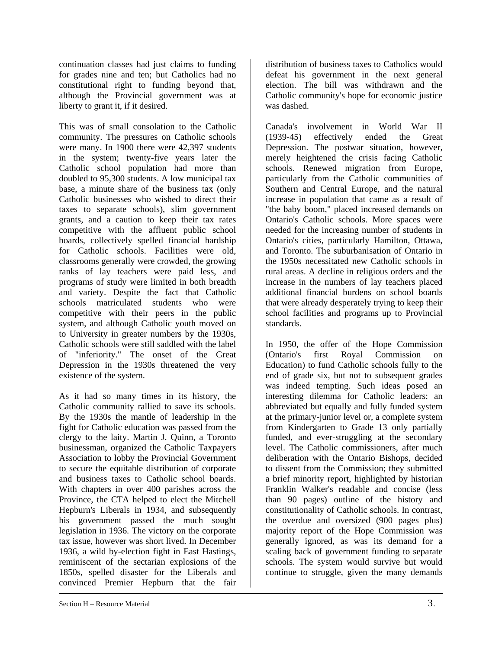continuation classes had just claims to funding for grades nine and ten; but Catholics had no constitutional right to funding beyond that, although the Provincial government was at liberty to grant it, if it desired.

This was of small consolation to the Catholic community. The pressures on Catholic schools were many. In 1900 there were 42,397 students in the system; twenty-five years later the Catholic school population had more than doubled to 95,300 students. A low municipal tax base, a minute share of the business tax (only Catholic businesses who wished to direct their taxes to separate schools), slim government grants, and a caution to keep their tax rates competitive with the affluent public school boards, collectively spelled financial hardship for Catholic schools. Facilities were old, classrooms generally were crowded, the growing ranks of lay teachers were paid less, and programs of study were limited in both breadth and variety. Despite the fact that Catholic schools matriculated students who were competitive with their peers in the public system, and although Catholic youth moved on to University in greater numbers by the 1930s, Catholic schools were still saddled with the label of "inferiority." The onset of the Great Depression in the 1930s threatened the very existence of the system.

As it had so many times in its history, the Catholic community rallied to save its schools. By the 1930s the mantle of leadership in the fight for Catholic education was passed from the clergy to the laity. Martin J. Quinn, a Toronto businessman, organized the Catholic Taxpayers Association to lobby the Provincial Government to secure the equitable distribution of corporate and business taxes to Catholic school boards. With chapters in over 400 parishes across the Province, the CTA helped to elect the Mitchell Hepburn's Liberals in 1934, and subsequently his government passed the much sought legislation in 1936. The victory on the corporate tax issue, however was short lived. In December 1936, a wild by-election fight in East Hastings, reminiscent of the sectarian explosions of the 1850s, spelled disaster for the Liberals and convinced Premier Hepburn that the fair

distribution of business taxes to Catholics would defeat his government in the next general election. The bill was withdrawn and the Catholic community's hope for economic justice was dashed.

Canada's involvement in World War II (1939-45) effectively ended the Great Depression. The postwar situation, however, merely heightened the crisis facing Catholic schools. Renewed migration from Europe, particularly from the Catholic communities of Southern and Central Europe, and the natural increase in population that came as a result of "the baby boom," placed increased demands on Ontario's Catholic schools. More spaces were needed for the increasing number of students in Ontario's cities, particularly Hamilton, Ottawa, and Toronto. The suburbanisation of Ontario in the 1950s necessitated new Catholic schools in rural areas. A decline in religious orders and the increase in the numbers of lay teachers placed additional financial burdens on school boards that were already desperately trying to keep their school facilities and programs up to Provincial standards.

In 1950, the offer of the Hope Commission (Ontario's first Royal Commission on Education) to fund Catholic schools fully to the end of grade six, but not to subsequent grades was indeed tempting. Such ideas posed an interesting dilemma for Catholic leaders: an abbreviated but equally and fully funded system at the primary-junior level or, a complete system from Kindergarten to Grade 13 only partially funded, and ever-struggling at the secondary level. The Catholic commissioners, after much deliberation with the Ontario Bishops, decided to dissent from the Commission; they submitted a brief minority report, highlighted by historian Franklin Walker's readable and concise (less than 90 pages) outline of the history and constitutionality of Catholic schools. In contrast, the overdue and oversized (900 pages plus) majority report of the Hope Commission was generally ignored, as was its demand for a scaling back of government funding to separate schools. The system would survive but would continue to struggle, given the many demands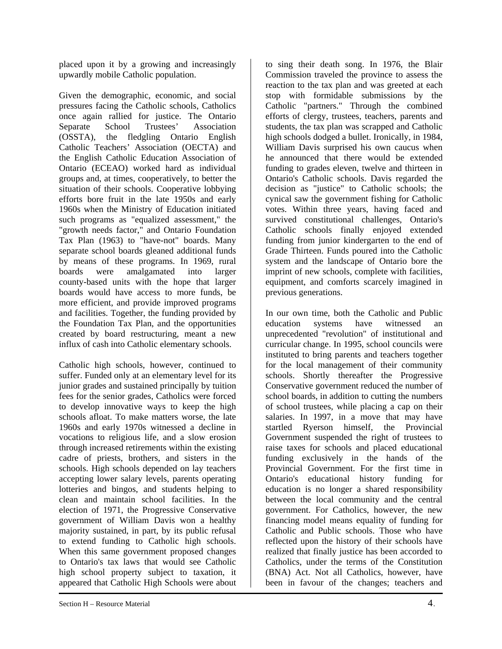placed upon it by a growing and increasingly upwardly mobile Catholic population.

Given the demographic, economic, and social pressures facing the Catholic schools, Catholics once again rallied for justice. The Ontario Separate School Trustees' Association (OSSTA), the fledgling Ontario English Catholic Teachers' Association (OECTA) and the English Catholic Education Association of Ontario (ECEAO) worked hard as individual groups and, at times, cooperatively, to better the situation of their schools. Cooperative lobbying efforts bore fruit in the late 1950s and early 1960s when the Ministry of Education initiated such programs as "equalized assessment," the "growth needs factor," and Ontario Foundation Tax Plan (1963) to "have-not" boards. Many separate school boards gleaned additional funds by means of these programs. In 1969, rural boards were amalgamated into larger county-based units with the hope that larger boards would have access to more funds, be more efficient, and provide improved programs and facilities. Together, the funding provided by the Foundation Tax Plan, and the opportunities created by board restructuring, meant a new influx of cash into Catholic elementary schools.

Catholic high schools, however, continued to suffer. Funded only at an elementary level for its junior grades and sustained principally by tuition fees for the senior grades, Catholics were forced to develop innovative ways to keep the high schools afloat. To make matters worse, the late 1960s and early 1970s witnessed a decline in vocations to religious life, and a slow erosion through increased retirements within the existing cadre of priests, brothers, and sisters in the schools. High schools depended on lay teachers accepting lower salary levels, parents operating lotteries and bingos, and students helping to clean and maintain school facilities. In the election of 1971, the Progressive Conservative government of William Davis won a healthy majority sustained, in part, by its public refusal to extend funding to Catholic high schools. When this same government proposed changes to Ontario's tax laws that would see Catholic high school property subject to taxation, it appeared that Catholic High Schools were about

Commission traveled the province to assess the reaction to the tax plan and was greeted at each stop with formidable submissions by the Catholic "partners." Through the combined efforts of clergy, trustees, teachers, parents and students, the tax plan was scrapped and Catholic high schools dodged a bullet. Ironically, in 1984, William Davis surprised his own caucus when he announced that there would be extended funding to grades eleven, twelve and thirteen in Ontario's Catholic schools. Davis regarded the decision as "justice" to Catholic schools; the cynical saw the government fishing for Catholic votes. Within three years, having faced and survived constitutional challenges, Ontario's Catholic schools finally enjoyed extended funding from junior kindergarten to the end of Grade Thirteen. Funds poured into the Catholic system and the landscape of Ontario bore the imprint of new schools, complete with facilities, equipment, and comforts scarcely imagined in previous generations.

to sing their death song. In 1976, the Blair

In our own time, both the Catholic and Public education systems have witnessed an unprecedented "revolution" of institutional and curricular change. In 1995, school councils were instituted to bring parents and teachers together for the local management of their community schools. Shortly thereafter the Progressive Conservative government reduced the number of school boards, in addition to cutting the numbers of school trustees, while placing a cap on their salaries. In 1997, in a move that may have startled Ryerson himself, the Provincial Government suspended the right of trustees to raise taxes for schools and placed educational funding exclusively in the hands of the Provincial Government. For the first time in Ontario's educational history funding for education is no longer a shared responsibility between the local community and the central government. For Catholics, however, the new financing model means equality of funding for Catholic and Public schools. Those who have reflected upon the history of their schools have realized that finally justice has been accorded to Catholics, under the terms of the Constitution (BNA) Act. Not all Catholics, however, have been in favour of the changes; teachers and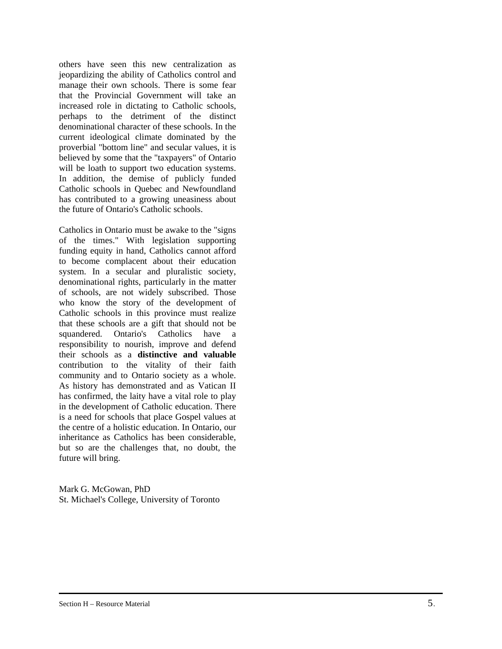others have seen this new centralization as jeopardizing the ability of Catholics control and manage their own schools. There is some fear that the Provincial Government will take an increased role in dictating to Catholic schools, perhaps to the detriment of the distinct denominational character of these schools. In the current ideological climate dominated by the proverbial "bottom line" and secular values, it is believed by some that the "taxpayers" of Ontario will be loath to support two education systems. In addition, the demise of publicly funded Catholic schools in Quebec and Newfoundland has contributed to a growing uneasiness about the future of Ontario's Catholic schools.

Catholics in Ontario must be awake to the "signs of the times." With legislation supporting funding equity in hand, Catholics cannot afford to become complacent about their education system. In a secular and pluralistic society, denominational rights, particularly in the matter of schools, are not widely subscribed. Those who know the story of the development of Catholic schools in this province must realize that these schools are a gift that should not be squandered. Ontario's Catholics have a responsibility to nourish, improve and defend their schools as a **distinctive and valuable**  contribution to the vitality of their faith community and to Ontario society as a whole. As history has demonstrated and as Vatican II has confirmed, the laity have a vital role to play in the development of Catholic education. There is a need for schools that place Gospel values at the centre of a holistic education. In Ontario, our inheritance as Catholics has been considerable, but so are the challenges that, no doubt, the future will bring.

Mark G. McGowan, PhD St. Michael's College, University of Toronto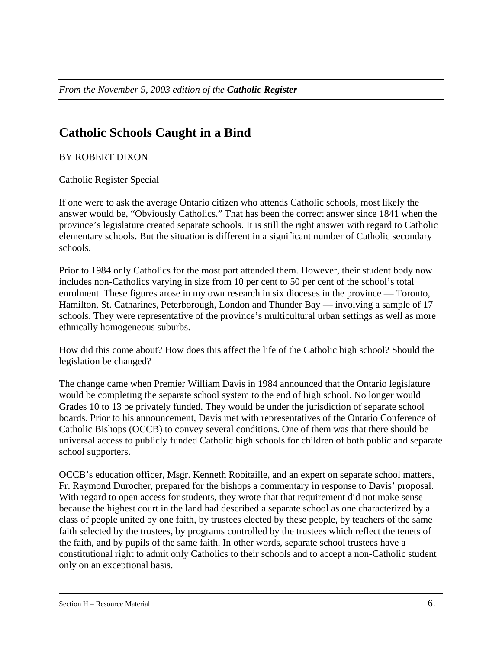### **Catholic Schools Caught in a Bind**

#### BY ROBERT DIXON

Catholic Register Special

If one were to ask the average Ontario citizen who attends Catholic schools, most likely the answer would be, "Obviously Catholics." That has been the correct answer since 1841 when the province's legislature created separate schools. It is still the right answer with regard to Catholic elementary schools. But the situation is different in a significant number of Catholic secondary schools.

Prior to 1984 only Catholics for the most part attended them. However, their student body now includes non-Catholics varying in size from 10 per cent to 50 per cent of the school's total enrolment. These figures arose in my own research in six dioceses in the province — Toronto, Hamilton, St. Catharines, Peterborough, London and Thunder Bay — involving a sample of 17 schools. They were representative of the province's multicultural urban settings as well as more ethnically homogeneous suburbs.

How did this come about? How does this affect the life of the Catholic high school? Should the legislation be changed?

The change came when Premier William Davis in 1984 announced that the Ontario legislature would be completing the separate school system to the end of high school. No longer would Grades 10 to 13 be privately funded. They would be under the jurisdiction of separate school boards. Prior to his announcement, Davis met with representatives of the Ontario Conference of Catholic Bishops (OCCB) to convey several conditions. One of them was that there should be universal access to publicly funded Catholic high schools for children of both public and separate school supporters.

OCCB's education officer, Msgr. Kenneth Robitaille, and an expert on separate school matters, Fr. Raymond Durocher, prepared for the bishops a commentary in response to Davis' proposal. With regard to open access for students, they wrote that that requirement did not make sense because the highest court in the land had described a separate school as one characterized by a class of people united by one faith, by trustees elected by these people, by teachers of the same faith selected by the trustees, by programs controlled by the trustees which reflect the tenets of the faith, and by pupils of the same faith. In other words, separate school trustees have a constitutional right to admit only Catholics to their schools and to accept a non-Catholic student only on an exceptional basis.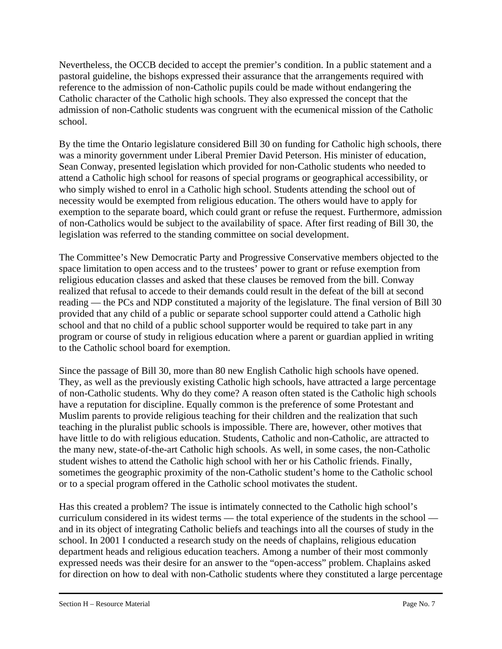Nevertheless, the OCCB decided to accept the premier's condition. In a public statement and a pastoral guideline, the bishops expressed their assurance that the arrangements required with reference to the admission of non-Catholic pupils could be made without endangering the Catholic character of the Catholic high schools. They also expressed the concept that the admission of non-Catholic students was congruent with the ecumenical mission of the Catholic school.

By the time the Ontario legislature considered Bill 30 on funding for Catholic high schools, there was a minority government under Liberal Premier David Peterson. His minister of education, Sean Conway, presented legislation which provided for non-Catholic students who needed to attend a Catholic high school for reasons of special programs or geographical accessibility, or who simply wished to enrol in a Catholic high school. Students attending the school out of necessity would be exempted from religious education. The others would have to apply for exemption to the separate board, which could grant or refuse the request. Furthermore, admission of non-Catholics would be subject to the availability of space. After first reading of Bill 30, the legislation was referred to the standing committee on social development.

The Committee's New Democratic Party and Progressive Conservative members objected to the space limitation to open access and to the trustees' power to grant or refuse exemption from religious education classes and asked that these clauses be removed from the bill. Conway realized that refusal to accede to their demands could result in the defeat of the bill at second reading — the PCs and NDP constituted a majority of the legislature. The final version of Bill 30 provided that any child of a public or separate school supporter could attend a Catholic high school and that no child of a public school supporter would be required to take part in any program or course of study in religious education where a parent or guardian applied in writing to the Catholic school board for exemption.

Since the passage of Bill 30, more than 80 new English Catholic high schools have opened. They, as well as the previously existing Catholic high schools, have attracted a large percentage of non-Catholic students. Why do they come? A reason often stated is the Catholic high schools have a reputation for discipline. Equally common is the preference of some Protestant and Muslim parents to provide religious teaching for their children and the realization that such teaching in the pluralist public schools is impossible. There are, however, other motives that have little to do with religious education. Students, Catholic and non-Catholic, are attracted to the many new, state-of-the-art Catholic high schools. As well, in some cases, the non-Catholic student wishes to attend the Catholic high school with her or his Catholic friends. Finally, sometimes the geographic proximity of the non-Catholic student's home to the Catholic school or to a special program offered in the Catholic school motivates the student.

Has this created a problem? The issue is intimately connected to the Catholic high school's curriculum considered in its widest terms — the total experience of the students in the school and in its object of integrating Catholic beliefs and teachings into all the courses of study in the school. In 2001 I conducted a research study on the needs of chaplains, religious education department heads and religious education teachers. Among a number of their most commonly expressed needs was their desire for an answer to the "open-access" problem. Chaplains asked for direction on how to deal with non-Catholic students where they constituted a large percentage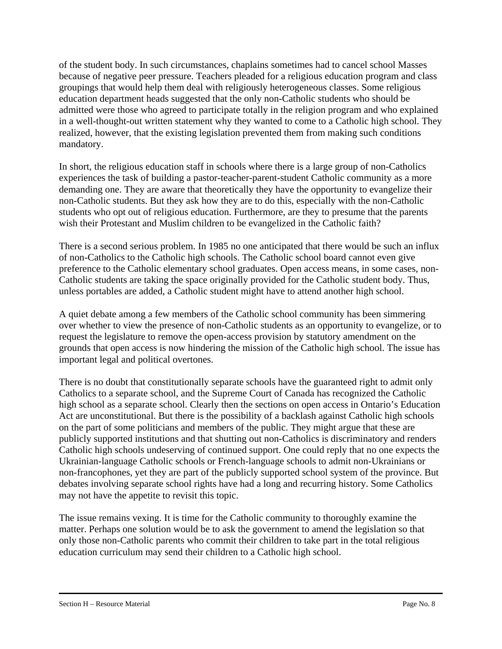of the student body. In such circumstances, chaplains sometimes had to cancel school Masses because of negative peer pressure. Teachers pleaded for a religious education program and class groupings that would help them deal with religiously heterogeneous classes. Some religious education department heads suggested that the only non-Catholic students who should be admitted were those who agreed to participate totally in the religion program and who explained in a well-thought-out written statement why they wanted to come to a Catholic high school. They realized, however, that the existing legislation prevented them from making such conditions mandatory.

In short, the religious education staff in schools where there is a large group of non-Catholics experiences the task of building a pastor-teacher-parent-student Catholic community as a more demanding one. They are aware that theoretically they have the opportunity to evangelize their non-Catholic students. But they ask how they are to do this, especially with the non-Catholic students who opt out of religious education. Furthermore, are they to presume that the parents wish their Protestant and Muslim children to be evangelized in the Catholic faith?

There is a second serious problem. In 1985 no one anticipated that there would be such an influx of non-Catholics to the Catholic high schools. The Catholic school board cannot even give preference to the Catholic elementary school graduates. Open access means, in some cases, non-Catholic students are taking the space originally provided for the Catholic student body. Thus, unless portables are added, a Catholic student might have to attend another high school.

A quiet debate among a few members of the Catholic school community has been simmering over whether to view the presence of non-Catholic students as an opportunity to evangelize, or to request the legislature to remove the open-access provision by statutory amendment on the grounds that open access is now hindering the mission of the Catholic high school. The issue has important legal and political overtones.

There is no doubt that constitutionally separate schools have the guaranteed right to admit only Catholics to a separate school, and the Supreme Court of Canada has recognized the Catholic high school as a separate school. Clearly then the sections on open access in Ontario's Education Act are unconstitutional. But there is the possibility of a backlash against Catholic high schools on the part of some politicians and members of the public. They might argue that these are publicly supported institutions and that shutting out non-Catholics is discriminatory and renders Catholic high schools undeserving of continued support. One could reply that no one expects the Ukrainian-language Catholic schools or French-language schools to admit non-Ukrainians or non-francophones, yet they are part of the publicly supported school system of the province. But debates involving separate school rights have had a long and recurring history. Some Catholics may not have the appetite to revisit this topic.

The issue remains vexing. It is time for the Catholic community to thoroughly examine the matter. Perhaps one solution would be to ask the government to amend the legislation so that only those non-Catholic parents who commit their children to take part in the total religious education curriculum may send their children to a Catholic high school.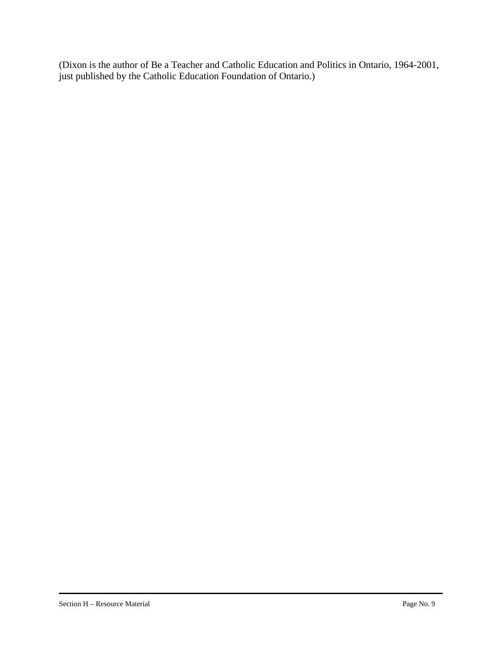(Dixon is the author of Be a Teacher and Catholic Education and Politics in Ontario, 1964-2001, just published by the Catholic Education Foundation of Ontario.)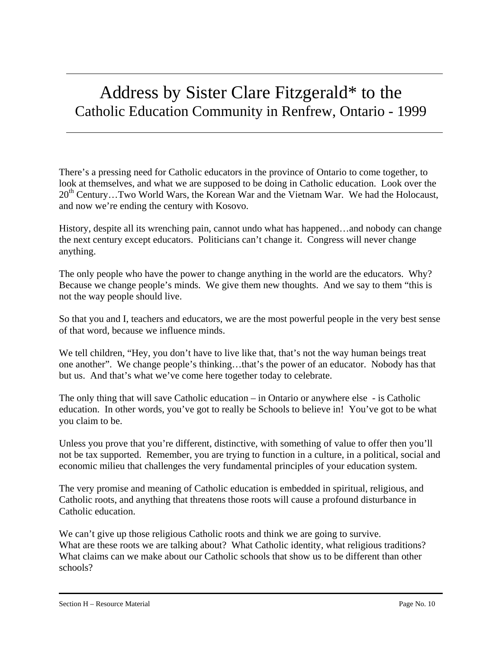### Address by Sister Clare Fitzgerald\* to the Catholic Education Community in Renfrew, Ontario - 1999

There's a pressing need for Catholic educators in the province of Ontario to come together, to look at themselves, and what we are supposed to be doing in Catholic education. Look over the  $20<sup>th</sup>$  Century...Two World Wars, the Korean War and the Vietnam War. We had the Holocaust, and now we're ending the century with Kosovo.

History, despite all its wrenching pain, cannot undo what has happened…and nobody can change the next century except educators. Politicians can't change it. Congress will never change anything.

The only people who have the power to change anything in the world are the educators. Why? Because we change people's minds. We give them new thoughts. And we say to them "this is not the way people should live.

So that you and I, teachers and educators, we are the most powerful people in the very best sense of that word, because we influence minds.

We tell children, "Hey, you don't have to live like that, that's not the way human beings treat one another". We change people's thinking…that's the power of an educator. Nobody has that but us. And that's what we've come here together today to celebrate.

The only thing that will save Catholic education – in Ontario or anywhere else - is Catholic education. In other words, you've got to really be Schools to believe in! You've got to be what you claim to be.

Unless you prove that you're different, distinctive, with something of value to offer then you'll not be tax supported. Remember, you are trying to function in a culture, in a political, social and economic milieu that challenges the very fundamental principles of your education system.

The very promise and meaning of Catholic education is embedded in spiritual, religious, and Catholic roots, and anything that threatens those roots will cause a profound disturbance in Catholic education.

We can't give up those religious Catholic roots and think we are going to survive. What are these roots we are talking about? What Catholic identity, what religious traditions? What claims can we make about our Catholic schools that show us to be different than other schools?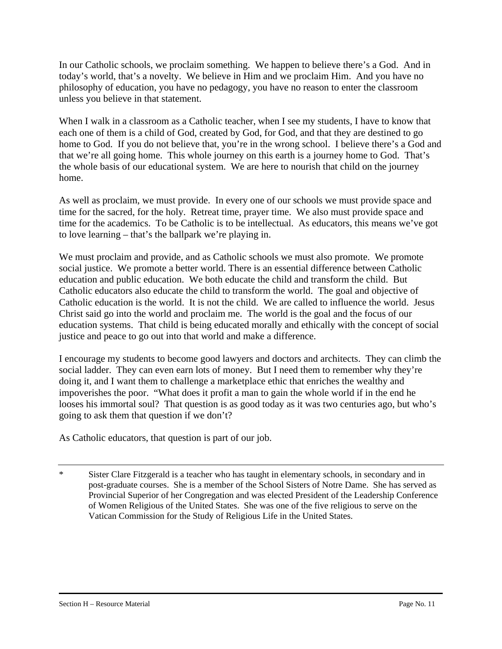In our Catholic schools, we proclaim something. We happen to believe there's a God. And in today's world, that's a novelty. We believe in Him and we proclaim Him. And you have no philosophy of education, you have no pedagogy, you have no reason to enter the classroom unless you believe in that statement.

When I walk in a classroom as a Catholic teacher, when I see my students, I have to know that each one of them is a child of God, created by God, for God, and that they are destined to go home to God. If you do not believe that, you're in the wrong school. I believe there's a God and that we're all going home. This whole journey on this earth is a journey home to God. That's the whole basis of our educational system. We are here to nourish that child on the journey home.

As well as proclaim, we must provide. In every one of our schools we must provide space and time for the sacred, for the holy. Retreat time, prayer time. We also must provide space and time for the academics. To be Catholic is to be intellectual. As educators, this means we've got to love learning – that's the ballpark we're playing in.

We must proclaim and provide, and as Catholic schools we must also promote. We promote social justice. We promote a better world. There is an essential difference between Catholic education and public education. We both educate the child and transform the child. But Catholic educators also educate the child to transform the world. The goal and objective of Catholic education is the world. It is not the child. We are called to influence the world. Jesus Christ said go into the world and proclaim me. The world is the goal and the focus of our education systems. That child is being educated morally and ethically with the concept of social justice and peace to go out into that world and make a difference.

I encourage my students to become good lawyers and doctors and architects. They can climb the social ladder. They can even earn lots of money. But I need them to remember why they're doing it, and I want them to challenge a marketplace ethic that enriches the wealthy and impoverishes the poor. "What does it profit a man to gain the whole world if in the end he looses his immortal soul? That question is as good today as it was two centuries ago, but who's going to ask them that question if we don't?

As Catholic educators, that question is part of our job.

\* Sister Clare Fitzgerald is a teacher who has taught in elementary schools, in secondary and in post-graduate courses. She is a member of the School Sisters of Notre Dame. She has served as Provincial Superior of her Congregation and was elected President of the Leadership Conference of Women Religious of the United States. She was one of the five religious to serve on the Vatican Commission for the Study of Religious Life in the United States.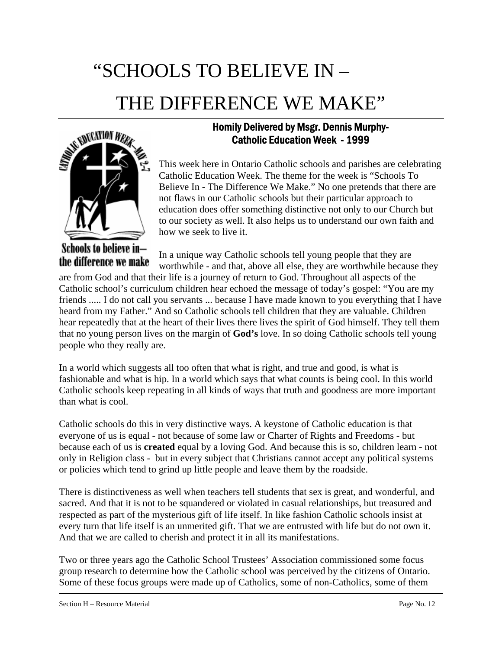## "SCHOOLS TO BELIEVE IN – THE DIFFERENCE WE MAKE"



Schools to believe inthe difference we make

### Homily Delivered by Msgr. Dennis Murphy-Catholic Education Week - 1999

This week here in Ontario Catholic schools and parishes are celebrating Catholic Education Week. The theme for the week is "Schools To Believe In - The Difference We Make." No one pretends that there are not flaws in our Catholic schools but their particular approach to education does offer something distinctive not only to our Church but to our society as well. It also helps us to understand our own faith and how we seek to live it.

In a unique way Catholic schools tell young people that they are worthwhile - and that, above all else, they are worthwhile because they

are from God and that their life is a journey of return to God. Throughout all aspects of the Catholic school's curriculum children hear echoed the message of today's gospel: "You are my friends ..... I do not call you servants ... because I have made known to you everything that I have heard from my Father." And so Catholic schools tell children that they are valuable. Children hear repeatedly that at the heart of their lives there lives the spirit of God himself. They tell them that no young person lives on the margin of **God's** love. In so doing Catholic schools tell young people who they really are.

In a world which suggests all too often that what is right, and true and good, is what is fashionable and what is hip. In a world which says that what counts is being cool. In this world Catholic schools keep repeating in all kinds of ways that truth and goodness are more important than what is cool.

Catholic schools do this in very distinctive ways. A keystone of Catholic education is that everyone of us is equal - not because of some law or Charter of Rights and Freedoms - but because each of us is **created** equal by a loving God. And because this is so, children learn - not only in Religion class - but in every subject that Christians cannot accept any political systems or policies which tend to grind up little people and leave them by the roadside.

There is distinctiveness as well when teachers tell students that sex is great, and wonderful, and sacred. And that it is not to be squandered or violated in casual relationships, but treasured and respected as part of the mysterious gift of life itself. In like fashion Catholic schools insist at every turn that life itself is an unmerited gift. That we are entrusted with life but do not own it. And that we are called to cherish and protect it in all its manifestations.

Two or three years ago the Catholic School Trustees' Association commissioned some focus group research to determine how the Catholic school was perceived by the citizens of Ontario. Some of these focus groups were made up of Catholics, some of non-Catholics, some of them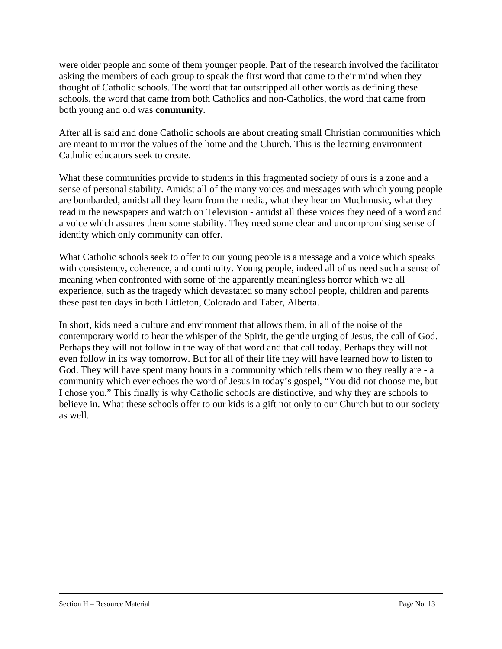were older people and some of them younger people. Part of the research involved the facilitator asking the members of each group to speak the first word that came to their mind when they thought of Catholic schools. The word that far outstripped all other words as defining these schools, the word that came from both Catholics and non-Catholics, the word that came from both young and old was **community**.

After all is said and done Catholic schools are about creating small Christian communities which are meant to mirror the values of the home and the Church. This is the learning environment Catholic educators seek to create.

What these communities provide to students in this fragmented society of ours is a zone and a sense of personal stability. Amidst all of the many voices and messages with which young people are bombarded, amidst all they learn from the media, what they hear on Muchmusic, what they read in the newspapers and watch on Television - amidst all these voices they need of a word and a voice which assures them some stability. They need some clear and uncompromising sense of identity which only community can offer.

What Catholic schools seek to offer to our young people is a message and a voice which speaks with consistency, coherence, and continuity. Young people, indeed all of us need such a sense of meaning when confronted with some of the apparently meaningless horror which we all experience, such as the tragedy which devastated so many school people, children and parents these past ten days in both Littleton, Colorado and Taber, Alberta.

In short, kids need a culture and environment that allows them, in all of the noise of the contemporary world to hear the whisper of the Spirit, the gentle urging of Jesus, the call of God. Perhaps they will not follow in the way of that word and that call today. Perhaps they will not even follow in its way tomorrow. But for all of their life they will have learned how to listen to God. They will have spent many hours in a community which tells them who they really are - a community which ever echoes the word of Jesus in today's gospel, "You did not choose me, but I chose you." This finally is why Catholic schools are distinctive, and why they are schools to believe in. What these schools offer to our kids is a gift not only to our Church but to our society as well.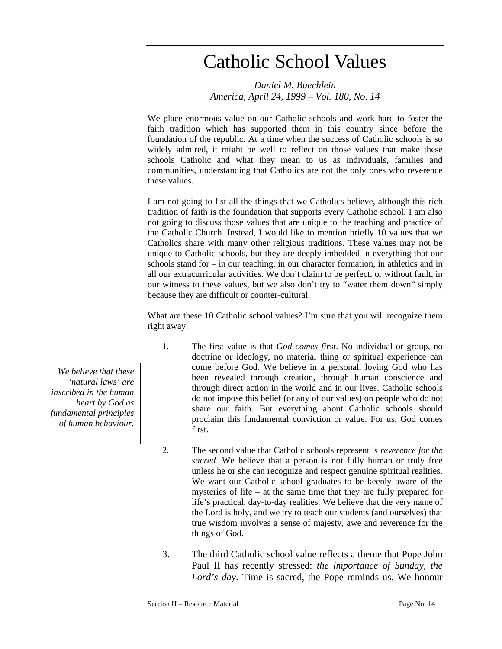### Catholic School Values

*Daniel M. Buechlein America, April 24, 1999 – Vol. 180, No. 14* 

We place enormous value on our Catholic schools and work hard to foster the faith tradition which has supported them in this country since before the foundation of the republic. At a time when the success of Catholic schools is so widely admired, it might be well to reflect on those values that make these schools Catholic and what they mean to us as individuals, families and communities, understanding that Catholics are not the only ones who reverence these values.

I am not going to list all the things that we Catholics believe, although this rich tradition of faith is the foundation that supports every Catholic school. I am also not going to discuss those values that are unique to the teaching and practice of the Catholic Church. Instead, I would like to mention briefly 10 values that we Catholics share with many other religious traditions. These values may not be unique to Catholic schools, but they are deeply imbedded in everything that our schools stand for – in our teaching, in our character formation, in athletics and in all our extracurricular activities. We don't claim to be perfect, or without fault, in our witness to these values, but we also don't try to "water them down" simply because they are difficult or counter-cultural.

What are these 10 Catholic school values? I'm sure that you will recognize them right away.

- 1. The first value is that *God comes first*. No individual or group, no doctrine or ideology, no material thing or spiritual experience can come before God. We believe in a personal, loving God who has been revealed through creation, through human conscience and through direct action in the world and in our lives. Catholic schools do not impose this belief (or any of our values) on people who do not share our faith. But everything about Catholic schools should proclaim this fundamental conviction or value. For us, God comes first.
- 2. The second value that Catholic schools represent is *reverence for the sacred*. We believe that a person is not fully human or truly free unless he or she can recognize and respect genuine spiritual realities. We want our Catholic school graduates to be keenly aware of the mysteries of life – at the same time that they are fully prepared for life's practical, day-to-day realities. We believe that the very name of the Lord is holy, and we try to teach our students (and ourselves) that true wisdom involves a sense of majesty, awe and reverence for the things of God.
- 3. The third Catholic school value reflects a theme that Pope John Paul II has recently stressed: *the importance of Sunday, the Lord's day*. Time is sacred, the Pope reminds us. We honour

*We believe that these 'natural laws' are inscribed in the human heart by God as fundamental principles of human behaviour*.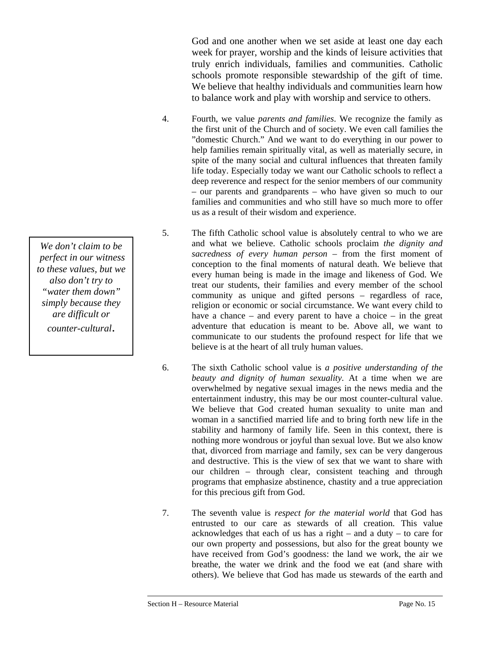God and one another when we set aside at least one day each week for prayer, worship and the kinds of leisure activities that truly enrich individuals, families and communities. Catholic schools promote responsible stewardship of the gift of time. We believe that healthy individuals and communities learn how to balance work and play with worship and service to others.

- 4. Fourth, we value *parents and families*. We recognize the family as the first unit of the Church and of society. We even call families the "domestic Church." And we want to do everything in our power to help families remain spiritually vital, as well as materially secure, in spite of the many social and cultural influences that threaten family life today. Especially today we want our Catholic schools to reflect a deep reverence and respect for the senior members of our community – our parents and grandparents – who have given so much to our families and communities and who still have so much more to offer us as a result of their wisdom and experience.
- 5. The fifth Catholic school value is absolutely central to who we are and what we believe. Catholic schools proclaim *the dignity and sacredness of every human person* – from the first moment of conception to the final moments of natural death. We believe that every human being is made in the image and likeness of God. We treat our students, their families and every member of the school community as unique and gifted persons – regardless of race, religion or economic or social circumstance. We want every child to have a chance – and every parent to have a choice – in the great adventure that education is meant to be. Above all, we want to communicate to our students the profound respect for life that we believe is at the heart of all truly human values.
- 6. The sixth Catholic school value is *a positive understanding of the beauty and dignity of human sexuality*. At a time when we are overwhelmed by negative sexual images in the news media and the entertainment industry, this may be our most counter-cultural value. We believe that God created human sexuality to unite man and woman in a sanctified married life and to bring forth new life in the stability and harmony of family life. Seen in this context, there is nothing more wondrous or joyful than sexual love. But we also know that, divorced from marriage and family, sex can be very dangerous and destructive. This is the view of sex that we want to share with our children – through clear, consistent teaching and through programs that emphasize abstinence, chastity and a true appreciation for this precious gift from God.
- 7. The seventh value is *respect for the material world* that God has entrusted to our care as stewards of all creation. This value acknowledges that each of us has a right – and a duty – to care for our own property and possessions, but also for the great bounty we have received from God's goodness: the land we work, the air we breathe, the water we drink and the food we eat (and share with others). We believe that God has made us stewards of the earth and

*We don't claim to be perfect in our witness to these values, but we also don't try to "water them down" simply because they are difficult or counter-cultural*.

Section H – Resource Material Page No. 15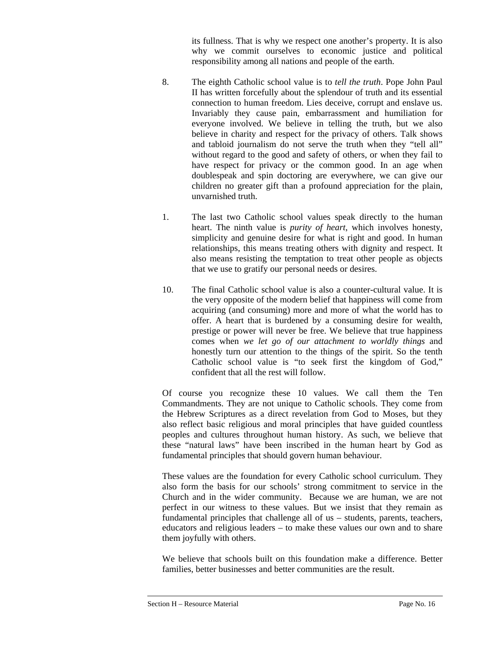its fullness. That is why we respect one another's property. It is also why we commit ourselves to economic justice and political responsibility among all nations and people of the earth.

- 8. The eighth Catholic school value is to *tell the truth*. Pope John Paul II has written forcefully about the splendour of truth and its essential connection to human freedom. Lies deceive, corrupt and enslave us. Invariably they cause pain, embarrassment and humiliation for everyone involved. We believe in telling the truth, but we also believe in charity and respect for the privacy of others. Talk shows and tabloid journalism do not serve the truth when they "tell all" without regard to the good and safety of others, or when they fail to have respect for privacy or the common good. In an age when doublespeak and spin doctoring are everywhere, we can give our children no greater gift than a profound appreciation for the plain, unvarnished truth.
- 1. The last two Catholic school values speak directly to the human heart. The ninth value is *purity of heart*, which involves honesty, simplicity and genuine desire for what is right and good. In human relationships, this means treating others with dignity and respect. It also means resisting the temptation to treat other people as objects that we use to gratify our personal needs or desires.
- 10. The final Catholic school value is also a counter-cultural value. It is the very opposite of the modern belief that happiness will come from acquiring (and consuming) more and more of what the world has to offer. A heart that is burdened by a consuming desire for wealth, prestige or power will never be free. We believe that true happiness comes when *we let go of our attachment to worldly things* and honestly turn our attention to the things of the spirit. So the tenth Catholic school value is "to seek first the kingdom of God," confident that all the rest will follow.

Of course you recognize these 10 values. We call them the Ten Commandments. They are not unique to Catholic schools. They come from the Hebrew Scriptures as a direct revelation from God to Moses, but they also reflect basic religious and moral principles that have guided countless peoples and cultures throughout human history. As such, we believe that these "natural laws" have been inscribed in the human heart by God as fundamental principles that should govern human behaviour.

These values are the foundation for every Catholic school curriculum. They also form the basis for our schools' strong commitment to service in the Church and in the wider community. Because we are human, we are not perfect in our witness to these values. But we insist that they remain as fundamental principles that challenge all of us – students, parents, teachers, educators and religious leaders – to make these values our own and to share them joyfully with others.

We believe that schools built on this foundation make a difference. Better families, better businesses and better communities are the result.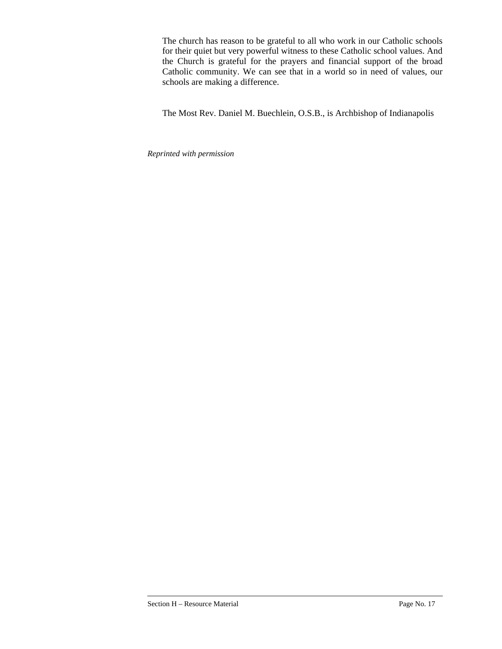The church has reason to be grateful to all who work in our Catholic schools for their quiet but very powerful witness to these Catholic school values. And the Church is grateful for the prayers and financial support of the broad Catholic community. We can see that in a world so in need of values, our schools are making a difference.

The Most Rev. Daniel M. Buechlein, O.S.B., is Archbishop of Indianapolis

*Reprinted with permission*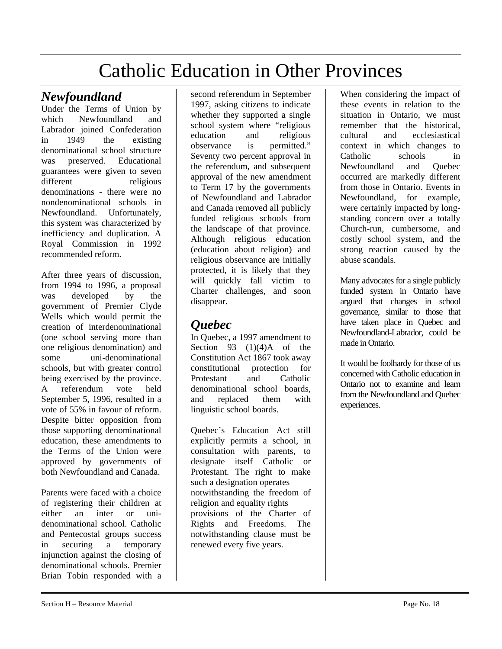### Catholic Education in Other Provinces

### *Newfoundland*

Under the Terms of Union by which Newfoundland and Labrador joined Confederation in 1949 the existing denominational school structure was preserved. Educational guarantees were given to seven different religious denominations - there were no nondenominational schools in Newfoundland. Unfortunately, this system was characterized by inefficiency and duplication. A Royal Commission in 1992 recommended reform.

After three years of discussion, from 1994 to 1996, a proposal was developed by the government of Premier Clyde Wells which would permit the creation of interdenominational (one school serving more than one religious denomination) and some uni-denominational schools, but with greater control being exercised by the province. A referendum vote held September 5, 1996, resulted in a vote of 55% in favour of reform. Despite bitter opposition from those supporting denominational education, these amendments to the Terms of the Union were approved by governments of both Newfoundland and Canada.

Parents were faced with a choice of registering their children at either an inter or unidenominational school. Catholic and Pentecostal groups success in securing a temporary injunction against the closing of denominational schools. Premier Brian Tobin responded with a second referendum in September 1997, asking citizens to indicate whether they supported a single school system where "religious education and religious observance is permitted." Seventy two percent approval in the referendum, and subsequent approval of the new amendment to Term 17 by the governments of Newfoundland and Labrador and Canada removed all publicly funded religious schools from the landscape of that province. Although religious education (education about religion) and religious observance are initially protected, it is likely that they will quickly fall victim to Charter challenges, and soon disappear.

### *Quebec*

In Quebec, a 1997 amendment to Section 93  $(1)(4)$ A of the Constitution Act 1867 took away constitutional protection for Protestant and Catholic denominational school boards, and replaced them with linguistic school boards.

Quebec's Education Act still explicitly permits a school, in consultation with parents, to designate itself Catholic or Protestant. The right to make such a designation operates notwithstanding the freedom of religion and equality rights provisions of the Charter of Rights and Freedoms. The notwithstanding clause must be renewed every five years.

When considering the impact of these events in relation to the situation in Ontario, we must remember that the historical, cultural and ecclesiastical context in which changes to Catholic schools in Newfoundland and Quebec occurred are markedly different from those in Ontario. Events in Newfoundland, for example, were certainly impacted by longstanding concern over a totally Church-run, cumbersome, and costly school system, and the strong reaction caused by the abuse scandals.

Many advocates for a single publicly funded system in Ontario have argued that changes in school governance, similar to those that have taken place in Quebec and Newfoundland-Labrador, could be made in Ontario.

It would be foolhardy for those of us concerned with Catholic education in Ontario not to examine and learn from the Newfoundland and Quebec experiences.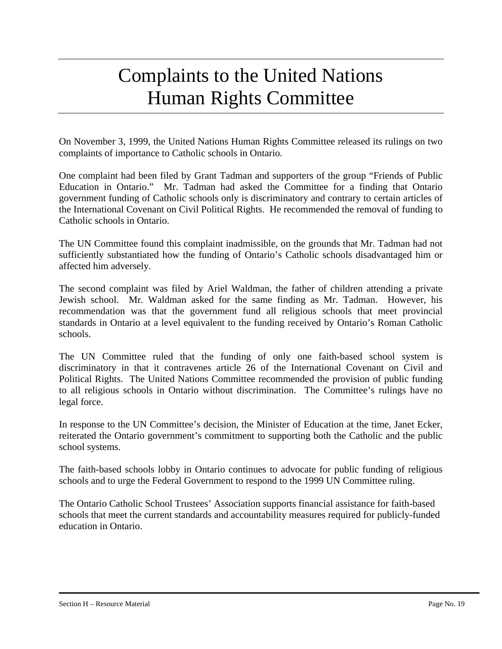### Complaints to the United Nations Human Rights Committee

On November 3, 1999, the United Nations Human Rights Committee released its rulings on two complaints of importance to Catholic schools in Ontario.

One complaint had been filed by Grant Tadman and supporters of the group "Friends of Public Education in Ontario." Mr. Tadman had asked the Committee for a finding that Ontario government funding of Catholic schools only is discriminatory and contrary to certain articles of the International Covenant on Civil Political Rights. He recommended the removal of funding to Catholic schools in Ontario.

The UN Committee found this complaint inadmissible, on the grounds that Mr. Tadman had not sufficiently substantiated how the funding of Ontario's Catholic schools disadvantaged him or affected him adversely.

The second complaint was filed by Ariel Waldman, the father of children attending a private Jewish school. Mr. Waldman asked for the same finding as Mr. Tadman. However, his recommendation was that the government fund all religious schools that meet provincial standards in Ontario at a level equivalent to the funding received by Ontario's Roman Catholic schools.

The UN Committee ruled that the funding of only one faith-based school system is discriminatory in that it contravenes article 26 of the International Covenant on Civil and Political Rights. The United Nations Committee recommended the provision of public funding to all religious schools in Ontario without discrimination. The Committee's rulings have no legal force.

In response to the UN Committee's decision, the Minister of Education at the time, Janet Ecker, reiterated the Ontario government's commitment to supporting both the Catholic and the public school systems.

The faith-based schools lobby in Ontario continues to advocate for public funding of religious schools and to urge the Federal Government to respond to the 1999 UN Committee ruling.

The Ontario Catholic School Trustees' Association supports financial assistance for faith-based schools that meet the current standards and accountability measures required for publicly-funded education in Ontario.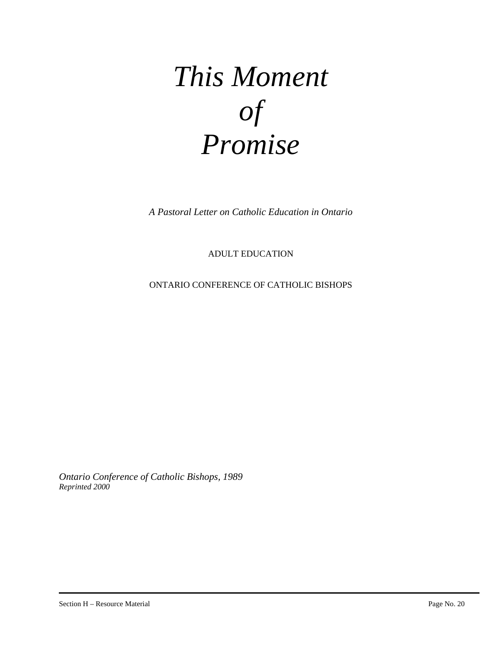## *This Moment of Promise*

*A Pastoral Letter on Catholic Education in Ontario*

ADULT EDUCATION

ONTARIO CONFERENCE OF CATHOLIC BISHOPS

*Ontario Conference of Catholic Bishops, 1989 Reprinted 2000*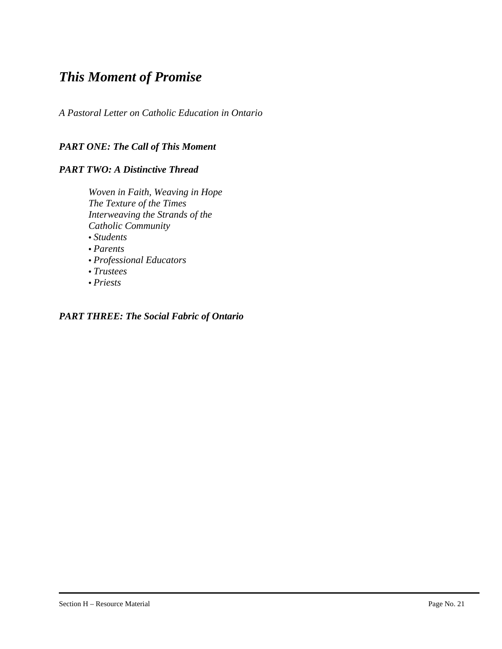### *This Moment of Promise*

*A Pastoral Letter on Catholic Education in Ontario* 

#### *PART ONE: The Call of This Moment*

#### *PART TWO: A Distinctive Thread*

*Woven in Faith, Weaving in Hope The Texture of the Times Interweaving the Strands of the Catholic Community*  • *Students* 

- *Parents*
- *Professional Educators*
- *Trustees*
- *Priests*

#### *PART THREE: The Social Fabric of Ontario*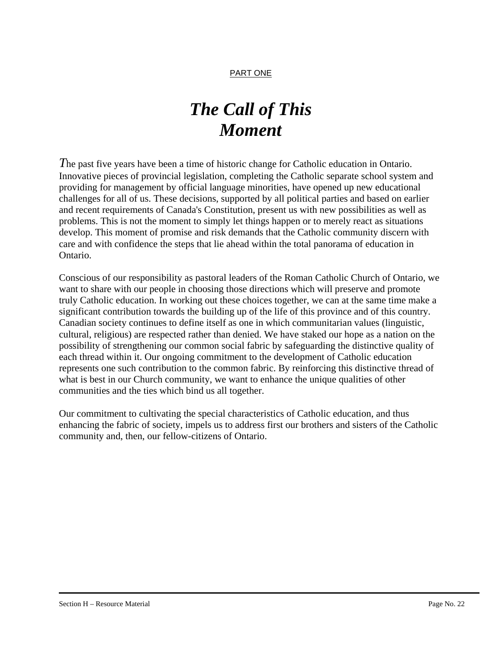#### PART ONE

### *The Call of This Moment*

*T*he past five years have been a time of historic change for Catholic education in Ontario. Innovative pieces of provincial legislation, completing the Catholic separate school system and providing for management by official language minorities, have opened up new educational challenges for all of us. These decisions, supported by all political parties and based on earlier and recent requirements of Canada's Constitution, present us with new possibilities as well as problems. This is not the moment to simply let things happen or to merely react as situations develop. This moment of promise and risk demands that the Catholic community discern with care and with confidence the steps that lie ahead within the total panorama of education in Ontario.

Conscious of our responsibility as pastoral leaders of the Roman Catholic Church of Ontario, we want to share with our people in choosing those directions which will preserve and promote truly Catholic education. In working out these choices together, we can at the same time make a significant contribution towards the building up of the life of this province and of this country. Canadian society continues to define itself as one in which communitarian values (linguistic, cultural, religious) are respected rather than denied. We have staked our hope as a nation on the possibility of strengthening our common social fabric by safeguarding the distinctive quality of each thread within it. Our ongoing commitment to the development of Catholic education represents one such contribution to the common fabric. By reinforcing this distinctive thread of what is best in our Church community, we want to enhance the unique qualities of other communities and the ties which bind us all together.

Our commitment to cultivating the special characteristics of Catholic education, and thus enhancing the fabric of society, impels us to address first our brothers and sisters of the Catholic community and, then, our fellow-citizens of Ontario.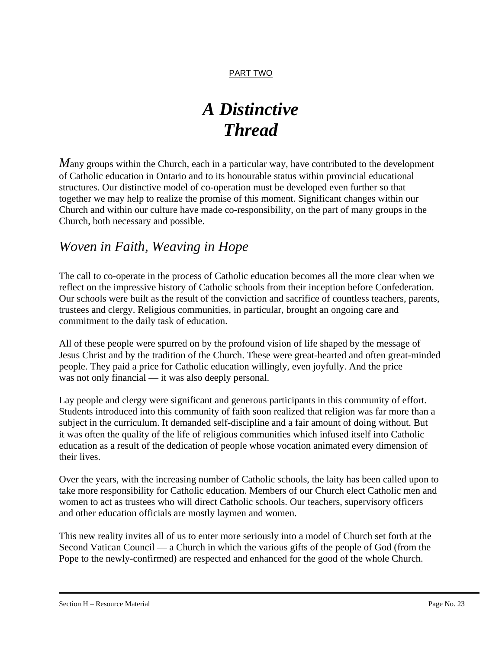### *A Distinctive Thread*

*Many* groups within the Church, each in a particular way, have contributed to the development of Catholic education in Ontario and to its honourable status within provincial educational structures. Our distinctive model of co-operation must be developed even further so that together we may help to realize the promise of this moment. Significant changes within our Church and within our culture have made co-responsibility, on the part of many groups in the Church, both necessary and possible.

### *Woven in Faith, Weaving in Hope*

The call to co-operate in the process of Catholic education becomes all the more clear when we reflect on the impressive history of Catholic schools from their inception before Confederation. Our schools were built as the result of the conviction and sacrifice of countless teachers, parents, trustees and clergy. Religious communities, in particular, brought an ongoing care and commitment to the daily task of education.

All of these people were spurred on by the profound vision of life shaped by the message of Jesus Christ and by the tradition of the Church. These were great-hearted and often great-minded people. They paid a price for Catholic education willingly, even joyfully. And the price was not only financial — it was also deeply personal.

Lay people and clergy were significant and generous participants in this community of effort. Students introduced into this community of faith soon realized that religion was far more than a subject in the curriculum. It demanded self-discipline and a fair amount of doing without. But it was often the quality of the life of religious communities which infused itself into Catholic education as a result of the dedication of people whose vocation animated every dimension of their lives.

Over the years, with the increasing number of Catholic schools, the laity has been called upon to take more responsibility for Catholic education. Members of our Church elect Catholic men and women to act as trustees who will direct Catholic schools. Our teachers, supervisory officers and other education officials are mostly laymen and women.

This new reality invites all of us to enter more seriously into a model of Church set forth at the Second Vatican Council — a Church in which the various gifts of the people of God (from the Pope to the newly-confirmed) are respected and enhanced for the good of the whole Church.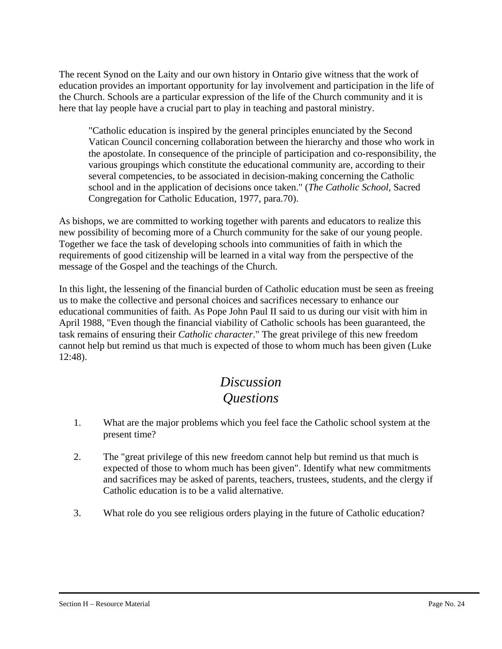The recent Synod on the Laity and our own history in Ontario give witness that the work of education provides an important opportunity for lay involvement and participation in the life of the Church. Schools are a particular expression of the life of the Church community and it is here that lay people have a crucial part to play in teaching and pastoral ministry.

"Catholic education is inspired by the general principles enunciated by the Second Vatican Council concerning collaboration between the hierarchy and those who work in the apostolate. In consequence of the principle of participation and co-responsibility, the various groupings which constitute the educational community are, according to their several competencies, to be associated in decision-making concerning the Catholic school and in the application of decisions once taken." (*The Catholic School*, Sacred Congregation for Catholic Education, 1977, para.70).

As bishops, we are committed to working together with parents and educators to realize this new possibility of becoming more of a Church community for the sake of our young people. Together we face the task of developing schools into communities of faith in which the requirements of good citizenship will be learned in a vital way from the perspective of the message of the Gospel and the teachings of the Church.

In this light, the lessening of the financial burden of Catholic education must be seen as freeing us to make the collective and personal choices and sacrifices necessary to enhance our educational communities of faith. As Pope John Paul II said to us during our visit with him in April 1988, "Even though the financial viability of Catholic schools has been guaranteed, the task remains of ensuring their *Catholic character*." The great privilege of this new freedom cannot help but remind us that much is expected of those to whom much has been given (Luke 12:48).

### *Discussion Questions*

- 1. What are the major problems which you feel face the Catholic school system at the present time?
- 2. The "great privilege of this new freedom cannot help but remind us that much is expected of those to whom much has been given". Identify what new commitments and sacrifices may be asked of parents, teachers, trustees, students, and the clergy if Catholic education is to be a valid alternative.
- 3. What role do you see religious orders playing in the future of Catholic education?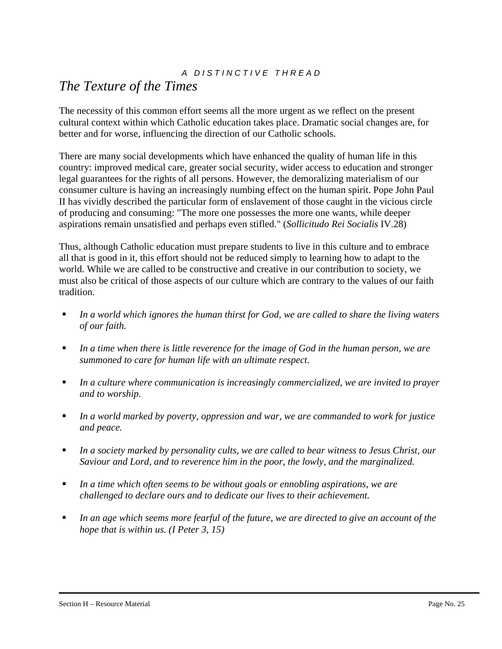### *A D I S T I N C T I V E T H R E A D*

### *The Texture of the Times*

The necessity of this common effort seems all the more urgent as we reflect on the present cultural context within which Catholic education takes place. Dramatic social changes are, for better and for worse, influencing the direction of our Catholic schools.

There are many social developments which have enhanced the quality of human life in this country: improved medical care, greater social security, wider access to education and stronger legal guarantees for the rights of all persons. However, the demoralizing materialism of our consumer culture is having an increasingly numbing effect on the human spirit. Pope John Paul II has vividly described the particular form of enslavement of those caught in the vicious circle of producing and consuming: "The more one possesses the more one wants, while deeper aspirations remain unsatisfied and perhaps even stifled." (*Sollicitudo Rei Socialis* IV.28)

Thus, although Catholic education must prepare students to live in this culture and to embrace all that is good in it, this effort should not be reduced simply to learning how to adapt to the world. While we are called to be constructive and creative in our contribution to society, we must also be critical of those aspects of our culture which are contrary to the values of our faith tradition.

- *In a world which ignores the human thirst for God, we are called to share the living waters of our faith.*
- *In a time when there is little reverence for the image of God in the human person, we are summoned to care for human life with an ultimate respect.*
- *In a culture where communication is increasingly commercialized, we are invited to prayer and to worship.*
- *In a world marked by poverty, oppression and war, we are commanded to work for justice and peace.*
- *In a society marked by personality cults, we are called to bear witness to Jesus Christ, our Saviour and Lord, and to reverence him in the poor, the lowly, and the marginalized.*
- *In a time which often seems to be without goals or ennobling aspirations, we are challenged to declare ours and to dedicate our lives to their achievement.*
- *In an age which seems more fearful of the future, we are directed to give an account of the hope that is within us. (I Peter 3, 15)*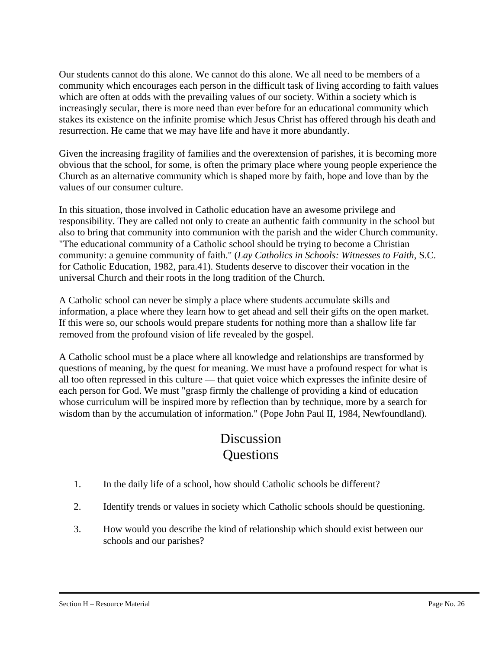Our students cannot do this alone. We cannot do this alone. We all need to be members of a community which encourages each person in the difficult task of living according to faith values which are often at odds with the prevailing values of our society. Within a society which is increasingly secular, there is more need than ever before for an educational community which stakes its existence on the infinite promise which Jesus Christ has offered through his death and resurrection. He came that we may have life and have it more abundantly.

Given the increasing fragility of families and the overextension of parishes, it is becoming more obvious that the school, for some, is often the primary place where young people experience the Church as an alternative community which is shaped more by faith, hope and love than by the values of our consumer culture.

In this situation, those involved in Catholic education have an awesome privilege and responsibility. They are called not only to create an authentic faith community in the school but also to bring that community into communion with the parish and the wider Church community. "The educational community of a Catholic school should be trying to become a Christian community: a genuine community of faith." (*Lay Catholics in Schools: Witnesses to Faith*, S.C. for Catholic Education, 1982, para.41). Students deserve to discover their vocation in the universal Church and their roots in the long tradition of the Church.

A Catholic school can never be simply a place where students accumulate skills and information, a place where they learn how to get ahead and sell their gifts on the open market. If this were so, our schools would prepare students for nothing more than a shallow life far removed from the profound vision of life revealed by the gospel.

A Catholic school must be a place where all knowledge and relationships are transformed by questions of meaning, by the quest for meaning. We must have a profound respect for what is all too often repressed in this culture — that quiet voice which expresses the infinite desire of each person for God. We must "grasp firmly the challenge of providing a kind of education whose curriculum will be inspired more by reflection than by technique, more by a search for wisdom than by the accumulation of information." (Pope John Paul II, 1984, Newfoundland).

### Discussion **Ouestions**

- 1. In the daily life of a school, how should Catholic schools be different?
- 2. Identify trends or values in society which Catholic schools should be questioning.
- 3. How would you describe the kind of relationship which should exist between our schools and our parishes?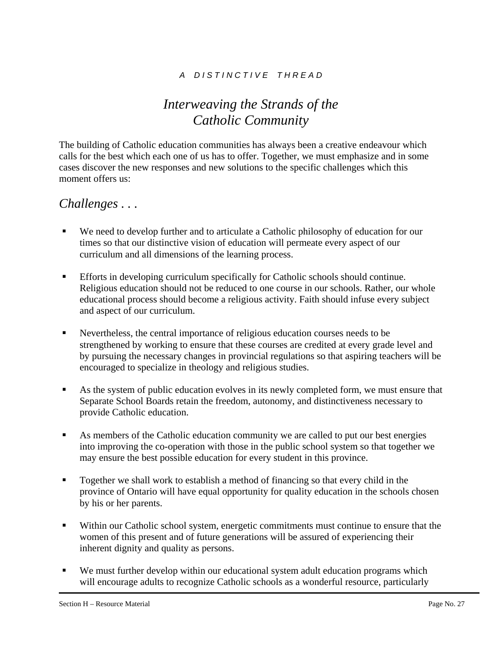### *A D I S T I N C T I V E T H R E A D*

### *Interweaving the Strands of the Catholic Community*

The building of Catholic education communities has always been a creative endeavour which calls for the best which each one of us has to offer. Together, we must emphasize and in some cases discover the new responses and new solutions to the specific challenges which this moment offers us:

### *Challenges . . .*

- We need to develop further and to articulate a Catholic philosophy of education for our times so that our distinctive vision of education will permeate every aspect of our curriculum and all dimensions of the learning process.
- Efforts in developing curriculum specifically for Catholic schools should continue. Religious education should not be reduced to one course in our schools. Rather, our whole educational process should become a religious activity. Faith should infuse every subject and aspect of our curriculum.
- Nevertheless, the central importance of religious education courses needs to be strengthened by working to ensure that these courses are credited at every grade level and by pursuing the necessary changes in provincial regulations so that aspiring teachers will be encouraged to specialize in theology and religious studies.
- As the system of public education evolves in its newly completed form, we must ensure that Separate School Boards retain the freedom, autonomy, and distinctiveness necessary to provide Catholic education.
- As members of the Catholic education community we are called to put our best energies into improving the co-operation with those in the public school system so that together we may ensure the best possible education for every student in this province.
- Together we shall work to establish a method of financing so that every child in the province of Ontario will have equal opportunity for quality education in the schools chosen by his or her parents.
- Within our Catholic school system, energetic commitments must continue to ensure that the women of this present and of future generations will be assured of experiencing their inherent dignity and quality as persons.
- We must further develop within our educational system adult education programs which will encourage adults to recognize Catholic schools as a wonderful resource, particularly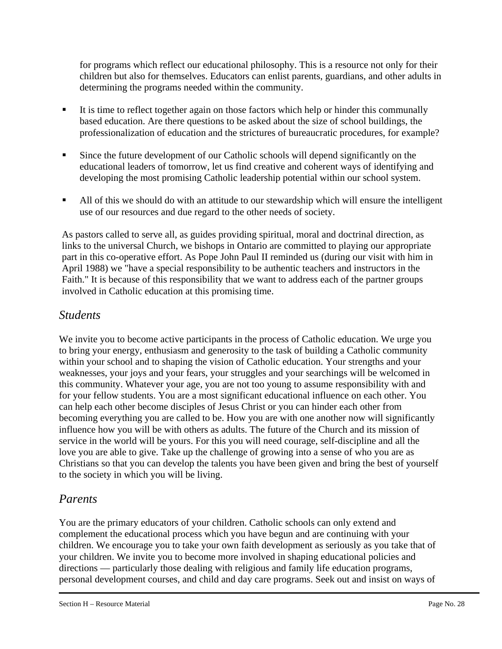for programs which reflect our educational philosophy. This is a resource not only for their children but also for themselves. Educators can enlist parents, guardians, and other adults in determining the programs needed within the community.

- It is time to reflect together again on those factors which help or hinder this communally based education. Are there questions to be asked about the size of school buildings, the professionalization of education and the strictures of bureaucratic procedures, for example?
- Since the future development of our Catholic schools will depend significantly on the educational leaders of tomorrow, let us find creative and coherent ways of identifying and developing the most promising Catholic leadership potential within our school system.
- All of this we should do with an attitude to our stewardship which will ensure the intelligent use of our resources and due regard to the other needs of society.

As pastors called to serve all, as guides providing spiritual, moral and doctrinal direction, as links to the universal Church, we bishops in Ontario are committed to playing our appropriate part in this co-operative effort. As Pope John Paul II reminded us (during our visit with him in April 1988) we "have a special responsibility to be authentic teachers and instructors in the Faith." It is because of this responsibility that we want to address each of the partner groups involved in Catholic education at this promising time.

### *Students*

We invite you to become active participants in the process of Catholic education. We urge you to bring your energy, enthusiasm and generosity to the task of building a Catholic community within your school and to shaping the vision of Catholic education. Your strengths and your weaknesses, your joys and your fears, your struggles and your searchings will be welcomed in this community. Whatever your age, you are not too young to assume responsibility with and for your fellow students. You are a most significant educational influence on each other. You can help each other become disciples of Jesus Christ or you can hinder each other from becoming everything you are called to be. How you are with one another now will significantly influence how you will be with others as adults. The future of the Church and its mission of service in the world will be yours. For this you will need courage, self-discipline and all the love you are able to give. Take up the challenge of growing into a sense of who you are as Christians so that you can develop the talents you have been given and bring the best of yourself to the society in which you will be living.

### *Parents*

You are the primary educators of your children. Catholic schools can only extend and complement the educational process which you have begun and are continuing with your children. We encourage you to take your own faith development as seriously as you take that of your children. We invite you to become more involved in shaping educational policies and directions — particularly those dealing with religious and family life education programs, personal development courses, and child and day care programs. Seek out and insist on ways of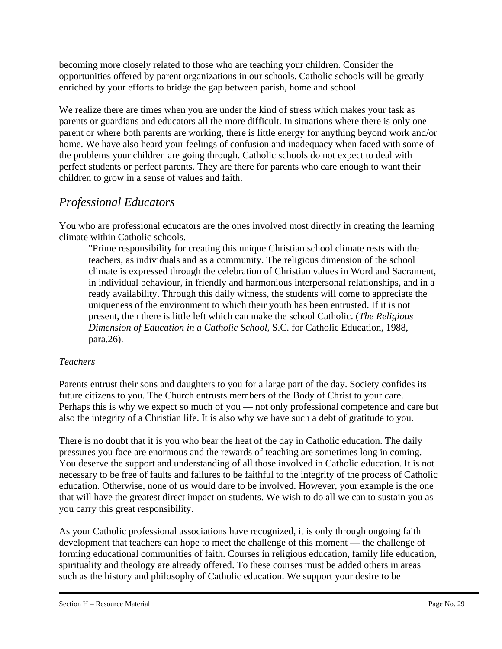becoming more closely related to those who are teaching your children. Consider the opportunities offered by parent organizations in our schools. Catholic schools will be greatly enriched by your efforts to bridge the gap between parish, home and school.

We realize there are times when you are under the kind of stress which makes your task as parents or guardians and educators all the more difficult. In situations where there is only one parent or where both parents are working, there is little energy for anything beyond work and/or home. We have also heard your feelings of confusion and inadequacy when faced with some of the problems your children are going through. Catholic schools do not expect to deal with perfect students or perfect parents. They are there for parents who care enough to want their children to grow in a sense of values and faith.

### *Professional Educators*

You who are professional educators are the ones involved most directly in creating the learning climate within Catholic schools.

"Prime responsibility for creating this unique Christian school climate rests with the teachers, as individuals and as a community. The religious dimension of the school climate is expressed through the celebration of Christian values in Word and Sacrament, in individual behaviour, in friendly and harmonious interpersonal relationships, and in a ready availability. Through this daily witness, the students will come to appreciate the uniqueness of the environment to which their youth has been entrusted. If it is not present, then there is little left which can make the school Catholic. (*The Religious Dimension of Education in a Catholic School*, S.C. for Catholic Education, 1988, para.26).

#### *Teachers*

Parents entrust their sons and daughters to you for a large part of the day. Society confides its future citizens to you. The Church entrusts members of the Body of Christ to your care. Perhaps this is why we expect so much of you — not only professional competence and care but also the integrity of a Christian life. It is also why we have such a debt of gratitude to you.

There is no doubt that it is you who bear the heat of the day in Catholic education. The daily pressures you face are enormous and the rewards of teaching are sometimes long in coming. You deserve the support and understanding of all those involved in Catholic education. It is not necessary to be free of faults and failures to be faithful to the integrity of the process of Catholic education. Otherwise, none of us would dare to be involved. However, your example is the one that will have the greatest direct impact on students. We wish to do all we can to sustain you as you carry this great responsibility.

As your Catholic professional associations have recognized, it is only through ongoing faith development that teachers can hope to meet the challenge of this moment — the challenge of forming educational communities of faith. Courses in religious education, family life education, spirituality and theology are already offered. To these courses must be added others in areas such as the history and philosophy of Catholic education. We support your desire to be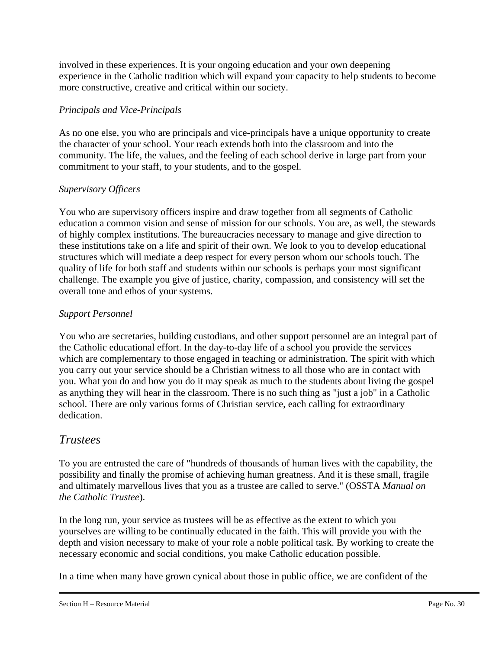involved in these experiences. It is your ongoing education and your own deepening experience in the Catholic tradition which will expand your capacity to help students to become more constructive, creative and critical within our society.

#### *Principals and Vice-Principals*

As no one else, you who are principals and vice-principals have a unique opportunity to create the character of your school. Your reach extends both into the classroom and into the community. The life, the values, and the feeling of each school derive in large part from your commitment to your staff, to your students, and to the gospel.

### *Supervisory Officers*

You who are supervisory officers inspire and draw together from all segments of Catholic education a common vision and sense of mission for our schools. You are, as well, the stewards of highly complex institutions. The bureaucracies necessary to manage and give direction to these institutions take on a life and spirit of their own. We look to you to develop educational structures which will mediate a deep respect for every person whom our schools touch. The quality of life for both staff and students within our schools is perhaps your most significant challenge. The example you give of justice, charity, compassion, and consistency will set the overall tone and ethos of your systems.

### *Support Personnel*

You who are secretaries, building custodians, and other support personnel are an integral part of the Catholic educational effort. In the day-to-day life of a school you provide the services which are complementary to those engaged in teaching or administration. The spirit with which you carry out your service should be a Christian witness to all those who are in contact with you. What you do and how you do it may speak as much to the students about living the gospel as anything they will hear in the classroom. There is no such thing as "just a job" in a Catholic school. There are only various forms of Christian service, each calling for extraordinary dedication.

### *Trustees*

To you are entrusted the care of "hundreds of thousands of human lives with the capability, the possibility and finally the promise of achieving human greatness. And it is these small, fragile and ultimately marvellous lives that you as a trustee are called to serve." (OSSTA *Manual on the Catholic Trustee*).

In the long run, your service as trustees will be as effective as the extent to which you yourselves are willing to be continually educated in the faith. This will provide you with the depth and vision necessary to make of your role a noble political task. By working to create the necessary economic and social conditions, you make Catholic education possible.

In a time when many have grown cynical about those in public office, we are confident of the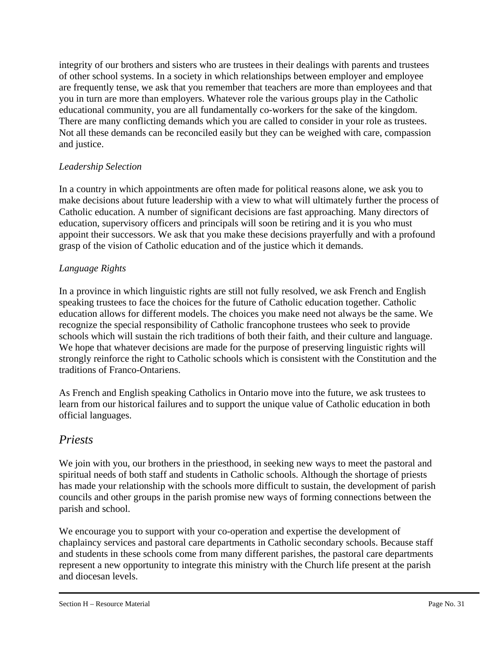integrity of our brothers and sisters who are trustees in their dealings with parents and trustees of other school systems. In a society in which relationships between employer and employee are frequently tense, we ask that you remember that teachers are more than employees and that you in turn are more than employers. Whatever role the various groups play in the Catholic educational community, you are all fundamentally co-workers for the sake of the kingdom. There are many conflicting demands which you are called to consider in your role as trustees. Not all these demands can be reconciled easily but they can be weighed with care, compassion and justice.

### *Leadership Selection*

In a country in which appointments are often made for political reasons alone, we ask you to make decisions about future leadership with a view to what will ultimately further the process of Catholic education. A number of significant decisions are fast approaching. Many directors of education, supervisory officers and principals will soon be retiring and it is you who must appoint their successors. We ask that you make these decisions prayerfully and with a profound grasp of the vision of Catholic education and of the justice which it demands.

#### *Language Rights*

In a province in which linguistic rights are still not fully resolved, we ask French and English speaking trustees to face the choices for the future of Catholic education together. Catholic education allows for different models. The choices you make need not always be the same. We recognize the special responsibility of Catholic francophone trustees who seek to provide schools which will sustain the rich traditions of both their faith, and their culture and language. We hope that whatever decisions are made for the purpose of preserving linguistic rights will strongly reinforce the right to Catholic schools which is consistent with the Constitution and the traditions of Franco-Ontariens.

As French and English speaking Catholics in Ontario move into the future, we ask trustees to learn from our historical failures and to support the unique value of Catholic education in both official languages.

### *Priests*

We join with you, our brothers in the priesthood, in seeking new ways to meet the pastoral and spiritual needs of both staff and students in Catholic schools. Although the shortage of priests has made your relationship with the schools more difficult to sustain, the development of parish councils and other groups in the parish promise new ways of forming connections between the parish and school.

We encourage you to support with your co-operation and expertise the development of chaplaincy services and pastoral care departments in Catholic secondary schools. Because staff and students in these schools come from many different parishes, the pastoral care departments represent a new opportunity to integrate this ministry with the Church life present at the parish and diocesan levels.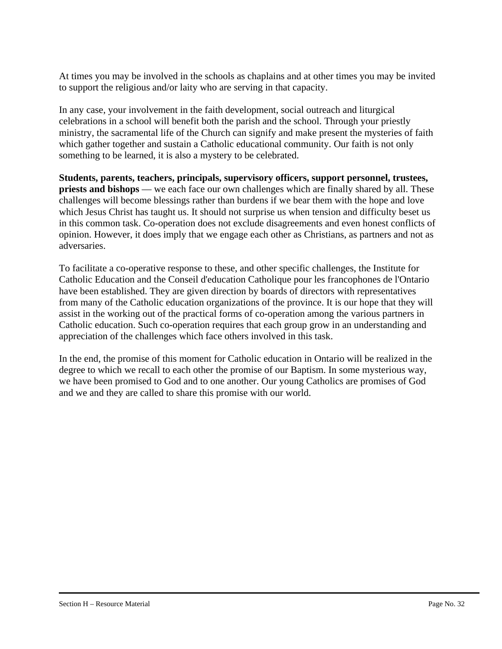At times you may be involved in the schools as chaplains and at other times you may be invited to support the religious and/or laity who are serving in that capacity.

In any case, your involvement in the faith development, social outreach and liturgical celebrations in a school will benefit both the parish and the school. Through your priestly ministry, the sacramental life of the Church can signify and make present the mysteries of faith which gather together and sustain a Catholic educational community. Our faith is not only something to be learned, it is also a mystery to be celebrated.

**Students, parents, teachers, principals, supervisory officers, support personnel, trustees, priests and bishops** — we each face our own challenges which are finally shared by all. These challenges will become blessings rather than burdens if we bear them with the hope and love which Jesus Christ has taught us. It should not surprise us when tension and difficulty beset us in this common task. Co-operation does not exclude disagreements and even honest conflicts of opinion. However, it does imply that we engage each other as Christians, as partners and not as adversaries.

To facilitate a co-operative response to these, and other specific challenges, the Institute for Catholic Education and the Conseil d'education Catholique pour les francophones de l'Ontario have been established. They are given direction by boards of directors with representatives from many of the Catholic education organizations of the province. It is our hope that they will assist in the working out of the practical forms of co-operation among the various partners in Catholic education. Such co-operation requires that each group grow in an understanding and appreciation of the challenges which face others involved in this task.

In the end, the promise of this moment for Catholic education in Ontario will be realized in the degree to which we recall to each other the promise of our Baptism. In some mysterious way, we have been promised to God and to one another. Our young Catholics are promises of God and we and they are called to share this promise with our world.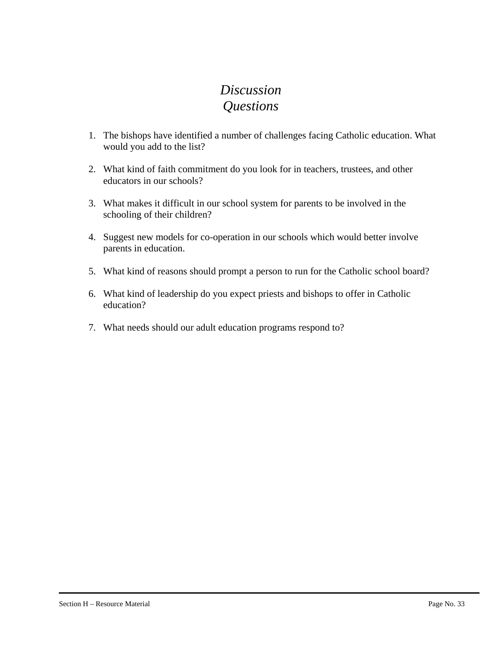### *Discussion Questions*

- 1. The bishops have identified a number of challenges facing Catholic education. What would you add to the list?
- 2. What kind of faith commitment do you look for in teachers, trustees, and other educators in our schools?
- 3. What makes it difficult in our school system for parents to be involved in the schooling of their children?
- 4. Suggest new models for co-operation in our schools which would better involve parents in education.
- 5. What kind of reasons should prompt a person to run for the Catholic school board?
- 6. What kind of leadership do you expect priests and bishops to offer in Catholic education?
- 7. What needs should our adult education programs respond to?